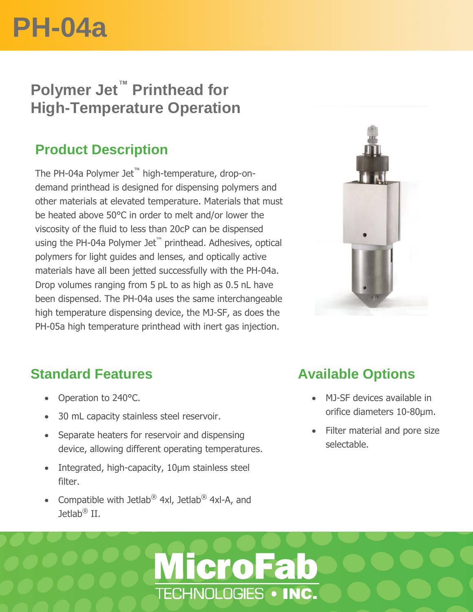# **PH-04a**

# **Polymer Jet™ Printhead for High-Temperature Operation**

#### **Product Description**

The PH-04a Polymer Jet™ high-temperature, drop-ondemand printhead is designed for dispensing polymers and other materials at elevated temperature. Materials that must be heated above 50°C in order to melt and/or lower the viscosity of the fluid to less than 20cP can be dispensed using the PH-04a Polymer Jet™ printhead. Adhesives, optical polymers for light guides and lenses, and optically active materials have all been jetted successfully with the PH-04a. Drop volumes ranging from 5 pL to as high as 0.5 nL have been dispensed. The PH-04a uses the same interchangeable high temperature dispensing device, the MJ-SF, as does the PH-05a high temperature printhead with inert gas injection.



### **Standard Features**

• Operation to 240°C.

ż

- 30 mL capacity stainless steel reservoir.
- Separate heaters for reservoir and dispensing device, allowing different operating temperatures.
- Integrated, high-capacity, 10µm stainless steel filter.
- Compatible with Jetlab® 4xl, Jetlab® 4xl-A, and Jetlab® II.

**MicroFab** 

TECHNOLOGIES . INC.

### **Available Options**

- MJ-SF devices available in orifice diameters 10-80µm.
- Filter material and pore size selectable.